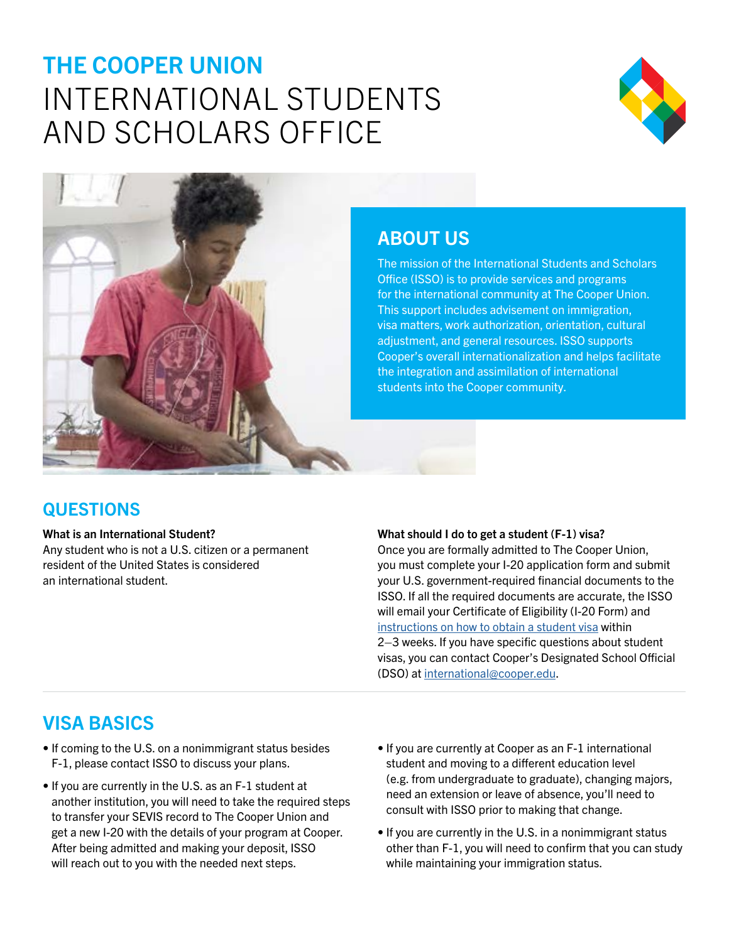# THE COOPER UNION INTERNATIONAL STUDENTS AND SCHOLARS OFFICE





### ABOUT US

The mission of the International Students and Scholars Office (ISSO) is to provide services and programs for the international community at The Cooper Union. This support includes advisement on immigration, visa matters, work authorization, orientation, cultural adjustment, and general resources. ISSO supports Cooper's overall internationalization and helps facilitate the integration and assimilation of international students into the Cooper community.

### **QUESTIONS**

### What is an International Student?

Any student who is not a U.S. citizen or a permanent resident of the United States is considered an international student.

#### What should I do to get a student (F-1) visa?

Once you are formally admitted to The Cooper Union, you must complete your I-20 application form and submit your U.S. government-required financial documents to the ISSO. If all the required documents are accurate, the ISSO will email your Certificate of Eligibility (I-20 Form) and [instructions on how to obtain a student visa](https://cooper.edu/admissions/admitted-students/obtaining-form-i-20) within 2–3 weeks. If you have specific questions about student visas, you can contact Cooper's Designated School Official (DSO) at [international@cooper.edu.](mailto:international%40cooper.edu?subject=)

### VISA BASICS

- If coming to the U.S. on a nonimmigrant status besides F-1, please contact ISSO to discuss your plans.
- If you are currently in the U.S. as an F-1 student at another institution, you will need to take the required steps to transfer your SEVIS record to The Cooper Union and get a new I-20 with the details of your program at Cooper. After being admitted and making your deposit, ISSO will reach out to you with the needed next steps.
- If you are currently at Cooper as an F-1 international student and moving to a different education level (e.g. from undergraduate to graduate), changing majors, need an extension or leave of absence, you'll need to consult with ISSO prior to making that change.
- If you are currently in the U.S. in a nonimmigrant status other than F-1, you will need to confirm that you can study while maintaining your immigration status.